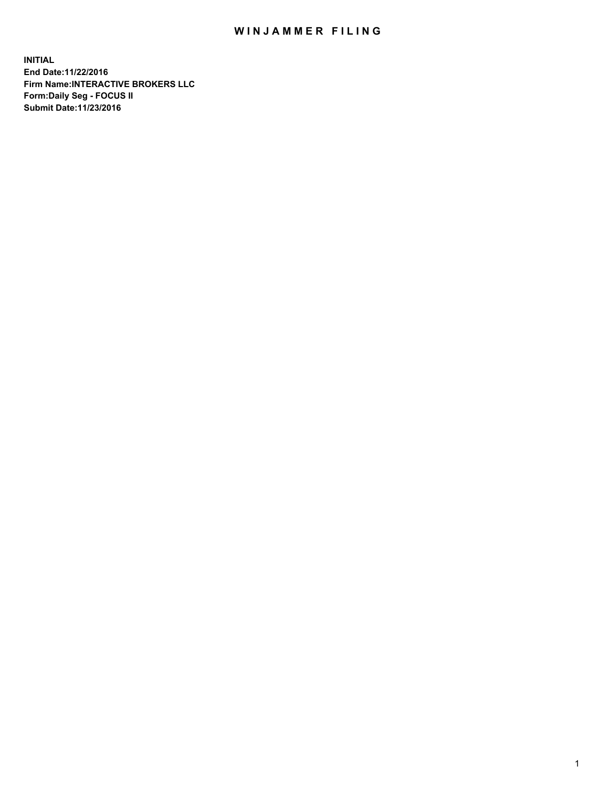## WIN JAMMER FILING

**INITIAL End Date:11/22/2016 Firm Name:INTERACTIVE BROKERS LLC Form:Daily Seg - FOCUS II Submit Date:11/23/2016**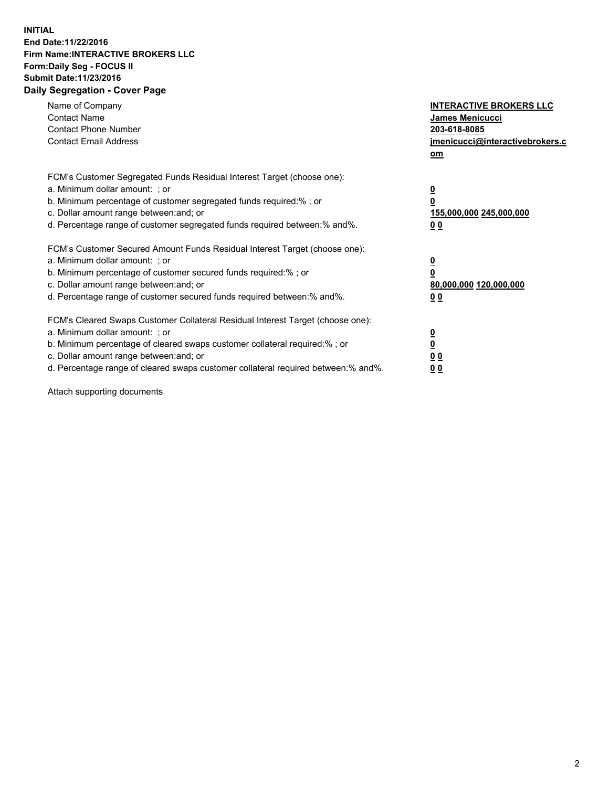## **INITIAL End Date:11/22/2016 Firm Name:INTERACTIVE BROKERS LLC Form:Daily Seg - FOCUS II Submit Date:11/23/2016 Daily Segregation - Cover Page**

| Name of Company<br><b>Contact Name</b><br><b>Contact Phone Number</b><br><b>Contact Email Address</b>                                                                                                                                                                                                                          | <b>INTERACTIVE BROKERS LLC</b><br>James Menicucci<br>203-618-8085<br>jmenicucci@interactivebrokers.c<br>om |
|--------------------------------------------------------------------------------------------------------------------------------------------------------------------------------------------------------------------------------------------------------------------------------------------------------------------------------|------------------------------------------------------------------------------------------------------------|
| FCM's Customer Segregated Funds Residual Interest Target (choose one):<br>a. Minimum dollar amount: ; or<br>b. Minimum percentage of customer segregated funds required:%; or<br>c. Dollar amount range between: and; or<br>d. Percentage range of customer segregated funds required between:% and%.                          | $\overline{\mathbf{0}}$<br>0<br>155,000,000 245,000,000<br>0 <sub>0</sub>                                  |
| FCM's Customer Secured Amount Funds Residual Interest Target (choose one):<br>a. Minimum dollar amount: ; or<br>b. Minimum percentage of customer secured funds required:%; or<br>c. Dollar amount range between: and; or<br>d. Percentage range of customer secured funds required between:% and%.                            | $\overline{\mathbf{0}}$<br>$\overline{\mathbf{0}}$<br>80,000,000 120,000,000<br>00                         |
| FCM's Cleared Swaps Customer Collateral Residual Interest Target (choose one):<br>a. Minimum dollar amount: ; or<br>b. Minimum percentage of cleared swaps customer collateral required:% ; or<br>c. Dollar amount range between: and; or<br>d. Percentage range of cleared swaps customer collateral required between:% and%. | $\overline{\mathbf{0}}$<br>$\overline{\mathbf{0}}$<br>0 <sub>0</sub><br><u>00</u>                          |

Attach supporting documents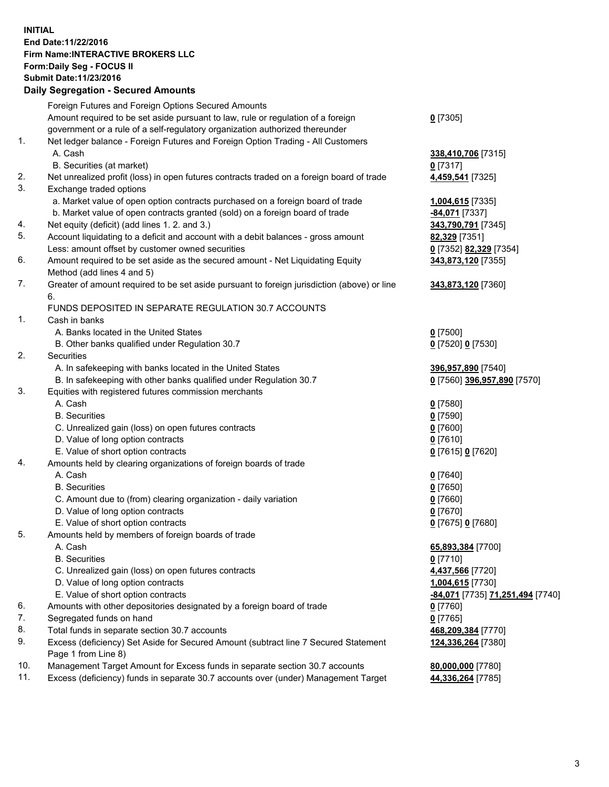## **INITIAL End Date:11/22/2016 Firm Name:INTERACTIVE BROKERS LLC Form:Daily Seg - FOCUS II Submit Date:11/23/2016 Daily Segregation - Secured Amounts**

|     | Daily Jegiegation - Jeculeu Alliounts                                                       |                                  |
|-----|---------------------------------------------------------------------------------------------|----------------------------------|
|     | Foreign Futures and Foreign Options Secured Amounts                                         |                                  |
|     | Amount required to be set aside pursuant to law, rule or regulation of a foreign            | $0$ [7305]                       |
|     | government or a rule of a self-regulatory organization authorized thereunder                |                                  |
| 1.  | Net ledger balance - Foreign Futures and Foreign Option Trading - All Customers             |                                  |
|     | A. Cash                                                                                     | 338,410,706 [7315]               |
|     | B. Securities (at market)                                                                   | $0$ [7317]                       |
| 2.  | Net unrealized profit (loss) in open futures contracts traded on a foreign board of trade   | 4,459,541 [7325]                 |
| 3.  | Exchange traded options                                                                     |                                  |
|     | a. Market value of open option contracts purchased on a foreign board of trade              | 1,004,615 [7335]                 |
|     | b. Market value of open contracts granted (sold) on a foreign board of trade                | -84,071 [7337]                   |
| 4.  | Net equity (deficit) (add lines 1. 2. and 3.)                                               | 343,790,791 [7345]               |
| 5.  | Account liquidating to a deficit and account with a debit balances - gross amount           | 82,329 [7351]                    |
|     | Less: amount offset by customer owned securities                                            | 0 [7352] 82,329 [7354]           |
| 6.  | Amount required to be set aside as the secured amount - Net Liquidating Equity              | 343,873,120 [7355]               |
|     | Method (add lines 4 and 5)                                                                  |                                  |
| 7.  | Greater of amount required to be set aside pursuant to foreign jurisdiction (above) or line | 343,873,120 [7360]               |
|     | 6.                                                                                          |                                  |
|     | FUNDS DEPOSITED IN SEPARATE REGULATION 30.7 ACCOUNTS                                        |                                  |
| 1.  | Cash in banks                                                                               |                                  |
|     | A. Banks located in the United States                                                       | $0$ [7500]                       |
|     | B. Other banks qualified under Regulation 30.7                                              | 0 [7520] 0 [7530]                |
| 2.  | Securities                                                                                  |                                  |
|     |                                                                                             |                                  |
|     | A. In safekeeping with banks located in the United States                                   | 396,957,890 [7540]               |
| 3.  | B. In safekeeping with other banks qualified under Regulation 30.7                          | 0 [7560] 396,957,890 [7570]      |
|     | Equities with registered futures commission merchants                                       |                                  |
|     | A. Cash                                                                                     | $0$ [7580]                       |
|     | <b>B.</b> Securities                                                                        | $0$ [7590]                       |
|     | C. Unrealized gain (loss) on open futures contracts                                         | $0$ [7600]                       |
|     | D. Value of long option contracts                                                           | $0$ [7610]                       |
|     | E. Value of short option contracts                                                          | 0 [7615] 0 [7620]                |
| 4.  | Amounts held by clearing organizations of foreign boards of trade                           |                                  |
|     | A. Cash                                                                                     | $0$ [7640]                       |
|     | <b>B.</b> Securities                                                                        | $0$ [7650]                       |
|     | C. Amount due to (from) clearing organization - daily variation                             | $0$ [7660]                       |
|     | D. Value of long option contracts                                                           | $0$ [7670]                       |
|     | E. Value of short option contracts                                                          | 0 [7675] 0 [7680]                |
| 5.  | Amounts held by members of foreign boards of trade                                          |                                  |
|     | A. Cash                                                                                     | 65,893,384 [7700]                |
|     | <b>B.</b> Securities                                                                        | $0$ [7710]                       |
|     | C. Unrealized gain (loss) on open futures contracts                                         | 4,437,566 [7720]                 |
|     | D. Value of long option contracts                                                           | 1,004,615 [7730]                 |
|     | E. Value of short option contracts                                                          | -84,071 [7735] 71,251,494 [7740] |
| 6.  | Amounts with other depositories designated by a foreign board of trade                      | 0 [7760]                         |
| 7.  | Segregated funds on hand                                                                    | $0$ [7765]                       |
| 8.  | Total funds in separate section 30.7 accounts                                               | 468,209,384 [7770]               |
| 9.  | Excess (deficiency) Set Aside for Secured Amount (subtract line 7 Secured Statement         | 124,336,264 [7380]               |
|     | Page 1 from Line 8)                                                                         |                                  |
| 10. | Management Target Amount for Excess funds in separate section 30.7 accounts                 | 80,000,000 [7780]                |
| 11. | Excess (deficiency) funds in separate 30.7 accounts over (under) Management Target          | 44,336,264 [7785]                |
|     |                                                                                             |                                  |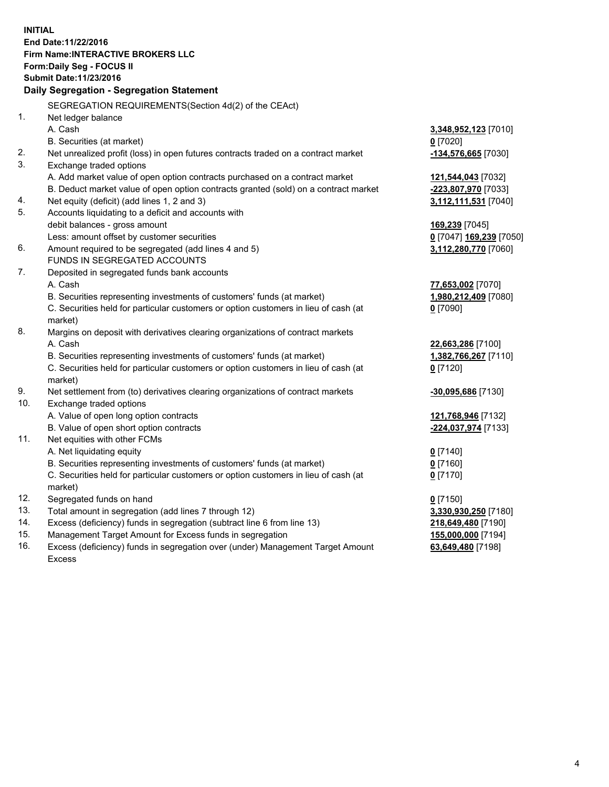**INITIAL End Date:11/22/2016 Firm Name:INTERACTIVE BROKERS LLC Form:Daily Seg - FOCUS II Submit Date:11/23/2016 Daily Segregation - Segregation Statement** SEGREGATION REQUIREMENTS(Section 4d(2) of the CEAct) 1. Net ledger balance A. Cash **3,348,952,123** [7010] B. Securities (at market) **0** [7020] 2. Net unrealized profit (loss) in open futures contracts traded on a contract market **-134,576,665** [7030] 3. Exchange traded options A. Add market value of open option contracts purchased on a contract market **121,544,043** [7032] B. Deduct market value of open option contracts granted (sold) on a contract market **-223,807,970** [7033] 4. Net equity (deficit) (add lines 1, 2 and 3) **3,112,111,531** [7040] 5. Accounts liquidating to a deficit and accounts with debit balances - gross amount **169,239** [7045] Less: amount offset by customer securities **0** [7047] **169,239** [7050] 6. Amount required to be segregated (add lines 4 and 5) **3,112,280,770** [7060] FUNDS IN SEGREGATED ACCOUNTS 7. Deposited in segregated funds bank accounts A. Cash **77,653,002** [7070] B. Securities representing investments of customers' funds (at market) **1,980,212,409** [7080] C. Securities held for particular customers or option customers in lieu of cash (at market) **0** [7090] 8. Margins on deposit with derivatives clearing organizations of contract markets A. Cash **22,663,286** [7100] B. Securities representing investments of customers' funds (at market) **1,382,766,267** [7110] C. Securities held for particular customers or option customers in lieu of cash (at market) **0** [7120] 9. Net settlement from (to) derivatives clearing organizations of contract markets **-30,095,686** [7130] 10. Exchange traded options A. Value of open long option contracts **121,768,946** [7132] B. Value of open short option contracts **-224,037,974** [7133] 11. Net equities with other FCMs A. Net liquidating equity **0** [7140] B. Securities representing investments of customers' funds (at market) **0** [7160] C. Securities held for particular customers or option customers in lieu of cash (at market) **0** [7170] 12. Segregated funds on hand **0** [7150] 13. Total amount in segregation (add lines 7 through 12) **3,330,930,250** [7180] 14. Excess (deficiency) funds in segregation (subtract line 6 from line 13) **218,649,480** [7190] 15. Management Target Amount for Excess funds in segregation **155,000,000** [7194] **63,649,480** [7198]

16. Excess (deficiency) funds in segregation over (under) Management Target Amount Excess